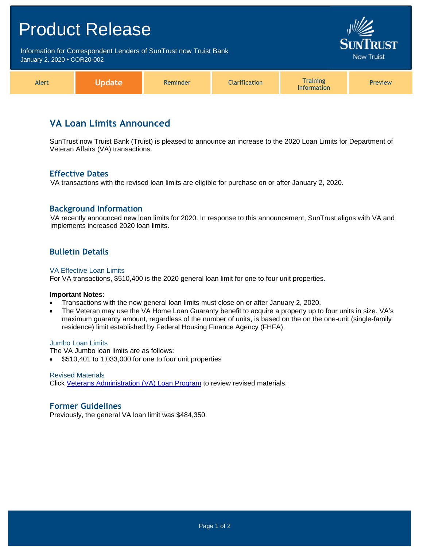# Product Release Information for Correspondent Lenders of SunTrust now Truist Bank Now Truist January 2, 2020 **•** COR20-002 **Training** Alert **Update** Reminder Clarification Preview Information

# **VA Loan Limits Announced**

SunTrust now Truist Bank (Truist) is pleased to announce an increase to the 2020 Loan Limits for Department of Veteran Affairs (VA) transactions.

### **Effective Dates**

VA transactions with the revised loan limits are eligible for purchase on or after January 2, 2020.

### **Background Information**

VA recently announced new loan limits for 2020. In response to this announcement, SunTrust aligns with VA and implements increased 2020 loan limits.

# **Bulletin Details**

#### VA Effective Loan Limits

For VA transactions, \$510,400 is the 2020 general loan limit for one to four unit properties.

#### **Important Notes:**

- Transactions with the new general loan limits must close on or after January 2, 2020.
- The Veteran may use the VA Home Loan Guaranty benefit to acquire a property up to four units in size. VA's maximum guaranty amount, regardless of the number of units, is based on the on the one-unit (single-family residence) limit established by Federal Housing Finance Agency (FHFA).

#### Jumbo Loan Limits

The VA Jumbo loan limits are as follows:

• \$510,401 to 1,033,000 for one to four unit properties

#### Revised Materials

Click [Veterans Administration \(VA\) Loan Program](https://www.truistsellerguide.com/manual/cor/products/cVA.pdf) to review revised materials.

### **Former Guidelines**

Previously, the general VA loan limit was \$484,350.